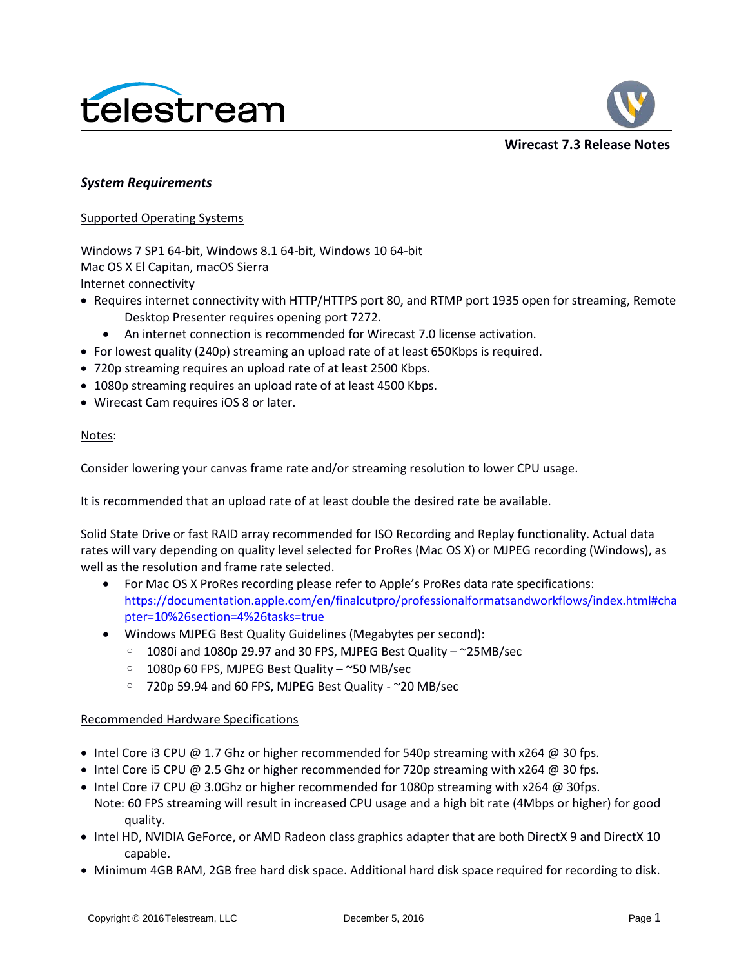



**Wirecast 7.3 Release Notes**

## *System Requirements*

Supported Operating Systems

Windows 7 SP1 64-bit, Windows 8.1 64-bit, Windows 10 64-bit Mac OS X El Capitan, macOS Sierra Internet connectivity

- Requires internet connectivity with HTTP/HTTPS port 80, and RTMP port 1935 open for streaming, Remote Desktop Presenter requires opening port 7272.
	- An internet connection is recommended for Wirecast 7.0 license activation.
- For lowest quality (240p) streaming an upload rate of at least 650Kbps is required.
- 720p streaming requires an upload rate of at least 2500 Kbps.
- 1080p streaming requires an upload rate of at least 4500 Kbps.
- Wirecast Cam requires iOS 8 or later.

### Notes:

Consider lowering your canvas frame rate and/or streaming resolution to lower CPU usage.

It is recommended that an upload rate of at least double the desired rate be available.

Solid State Drive or fast RAID array recommended for ISO Recording and Replay functionality. Actual data rates will vary depending on quality level selected for ProRes (Mac OS X) or MJPEG recording (Windows), as well as the resolution and frame rate selected.

- For Mac OS X ProRes recording please refer to Apple's ProRes data rate specifications: [https://documentation.apple.com/en/finalcutpro/professionalformatsandworkflows/index.html#cha](https://documentation.apple.com/en/finalcutpro/professionalformatsandworkflows/index.html#chapter=10%26section=4%26tasks=true) [pter=10%26section=4%26tasks=true](https://documentation.apple.com/en/finalcutpro/professionalformatsandworkflows/index.html#chapter=10%26section=4%26tasks=true)
- Windows MJPEG Best Quality Guidelines (Megabytes per second):
	- 1080i and 1080p 29.97 and 30 FPS, MJPEG Best Quality ~25MB/sec
	- 1080p 60 FPS, MJPEG Best Quality ~50 MB/sec
	- 720p 59.94 and 60 FPS, MJPEG Best Quality ~20 MB/sec

## Recommended Hardware Specifications

- Intel Core i3 CPU @ 1.7 Ghz or higher recommended for 540p streaming with x264 @ 30 fps.
- Intel Core i5 CPU @ 2.5 Ghz or higher recommended for 720p streaming with x264 @ 30 fps.
- Intel Core i7 CPU @ 3.0Ghz or higher recommended for 1080p streaming with x264 @ 30fps. Note: 60 FPS streaming will result in increased CPU usage and a high bit rate (4Mbps or higher) for good quality.
- Intel HD, NVIDIA GeForce, or AMD Radeon class graphics adapter that are both DirectX 9 and DirectX 10 capable.
- Minimum 4GB RAM, 2GB free hard disk space. Additional hard disk space required for recording to disk.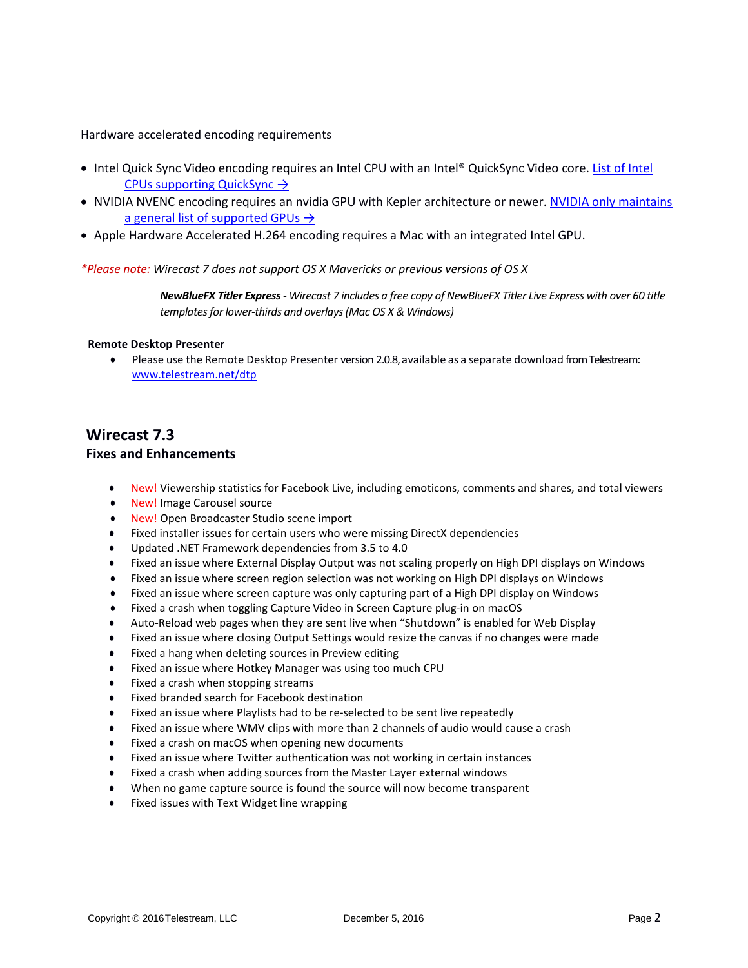#### Hardware accelerated encoding requirements

- Intel Quick Sync Video encoding requires an Intel CPU with an Intel® QuickSync Video core. List of Intel [CPUs supporting QuickSync](http://ark.intel.com/search/advanced?QuickSyncVideo=true&MarketSegment=DT) →
- NVIDIA NVENC encoding requires an nvidia GPU with Kepler architecture or newer. NVIDIA only maintains [a general list of supported GPUs](https://developer.nvidia.com/nvidia-video-codec-sdk#gpulist)  $\rightarrow$
- Apple Hardware Accelerated H.264 encoding requires a Mac with an integrated Intel GPU.

#### *\*Please note: Wirecast 7 does not support OS X Mavericks or previous versions of OS X*

*NewBlueFX Titler Express- Wirecast 7 includes a free copy of NewBlueFX Titler Live Express with over 60 title templates for lower-thirds and overlays (Mac OS X & Windows)*

#### **Remote Desktop Presenter**

● Please use the Remote Desktop Presenter version 2.0.8, available as a separate download from Telestream: www.telestream.net/dtp

## **Wirecast 7.3**

### **Fixes and Enhancements**

- New! Viewership statistics for Facebook Live, including emoticons, comments and shares, and total viewers
- **New! Image Carousel source**
- New! Open Broadcaster Studio scene import
- Fixed installer issues for certain users who were missing DirectX dependencies
- Updated .NET Framework dependencies from 3.5 to 4.0
- Fixed an issue where External Display Output was not scaling properly on High DPI displays on Windows
- Fixed an issue where screen region selection was not working on High DPI displays on Windows
- Fixed an issue where screen capture was only capturing part of a High DPI display on Windows
- Fixed a crash when toggling Capture Video in Screen Capture plug-in on macOS
- Auto-Reload web pages when they are sent live when "Shutdown" is enabled for Web Display
- Fixed an issue where closing Output Settings would resize the canvas if no changes were made
- Fixed a hang when deleting sources in Preview editing
- Fixed an issue where Hotkey Manager was using too much CPU
- Fixed a crash when stopping streams
- Fixed branded search for Facebook destination
- Fixed an issue where Playlists had to be re-selected to be sent live repeatedly
- Fixed an issue where WMV clips with more than 2 channels of audio would cause a crash
- Fixed a crash on macOS when opening new documents
- Fixed an issue where Twitter authentication was not working in certain instances
- Fixed a crash when adding sources from the Master Layer external windows
- When no game capture source is found the source will now become transparent
- Fixed issues with Text Widget line wrapping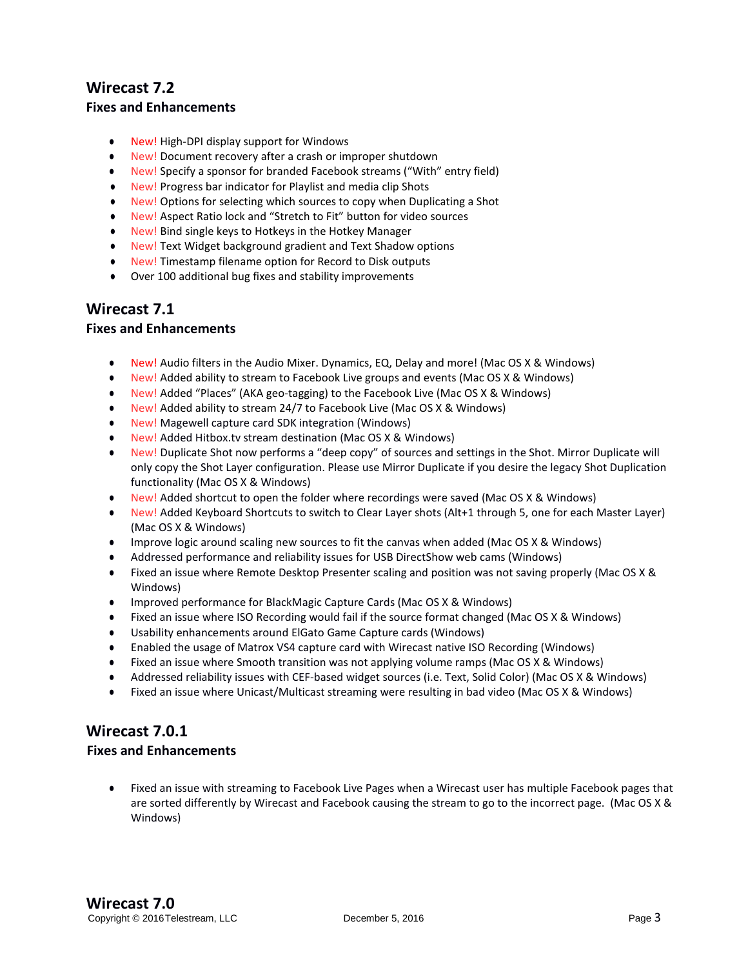## **Wirecast 7.2 Fixes and Enhancements**

- New! High-DPI display support for Windows
- New! Document recovery after a crash or improper shutdown
- New! Specify a sponsor for branded Facebook streams ("With" entry field)
- New! Progress bar indicator for Playlist and media clip Shots
- New! Options for selecting which sources to copy when Duplicating a Shot
- New! Aspect Ratio lock and "Stretch to Fit" button for video sources
- New! Bind single keys to Hotkeys in the Hotkey Manager
- New! Text Widget background gradient and Text Shadow options
- New! Timestamp filename option for Record to Disk outputs
- Over 100 additional bug fixes and stability improvements

## **Wirecast 7.1**

## **Fixes and Enhancements**

- New! Audio filters in the Audio Mixer. Dynamics, EQ, Delay and more! (Mac OS X & Windows)
- New! Added ability to stream to Facebook Live groups and events (Mac OS X & Windows)
- New! Added "Places" (AKA geo-tagging) to the Facebook Live (Mac OS X & Windows)
- New! Added ability to stream 24/7 to Facebook Live (Mac OS X & Windows)
- New! Magewell capture card SDK integration (Windows)
- New! Added Hitbox.tv stream destination (Mac OS X & Windows)
- New! Duplicate Shot now performs a "deep copy" of sources and settings in the Shot. Mirror Duplicate will only copy the Shot Layer configuration. Please use Mirror Duplicate if you desire the legacy Shot Duplication functionality (Mac OS X & Windows)
- New! Added shortcut to open the folder where recordings were saved (Mac OS X & Windows)
- New! Added Keyboard Shortcuts to switch to Clear Layer shots (Alt+1 through 5, one for each Master Layer) (Mac OS X & Windows)
- Improve logic around scaling new sources to fit the canvas when added (Mac OS X & Windows)
- Addressed performance and reliability issues for USB DirectShow web cams (Windows)
- Fixed an issue where Remote Desktop Presenter scaling and position was not saving properly (Mac OS X & Windows)
- Improved performance for BlackMagic Capture Cards (Mac OS X & Windows)
- Fixed an issue where ISO Recording would fail if the source format changed (Mac OS X & Windows)
- Usability enhancements around ElGato Game Capture cards (Windows)
- Enabled the usage of Matrox VS4 capture card with Wirecast native ISO Recording (Windows)
- Fixed an issue where Smooth transition was not applying volume ramps (Mac OS X & Windows)
- Addressed reliability issues with CEF-based widget sources (i.e. Text, Solid Color) (Mac OS X & Windows)
- Fixed an issue where Unicast/Multicast streaming were resulting in bad video (Mac OS X & Windows)

# **Wirecast 7.0.1**

## **Fixes and Enhancements**

● Fixed an issue with streaming to Facebook Live Pages when a Wirecast user has multiple Facebook pages that are sorted differently by Wirecast and Facebook causing the stream to go to the incorrect page. (Mac OS X & Windows)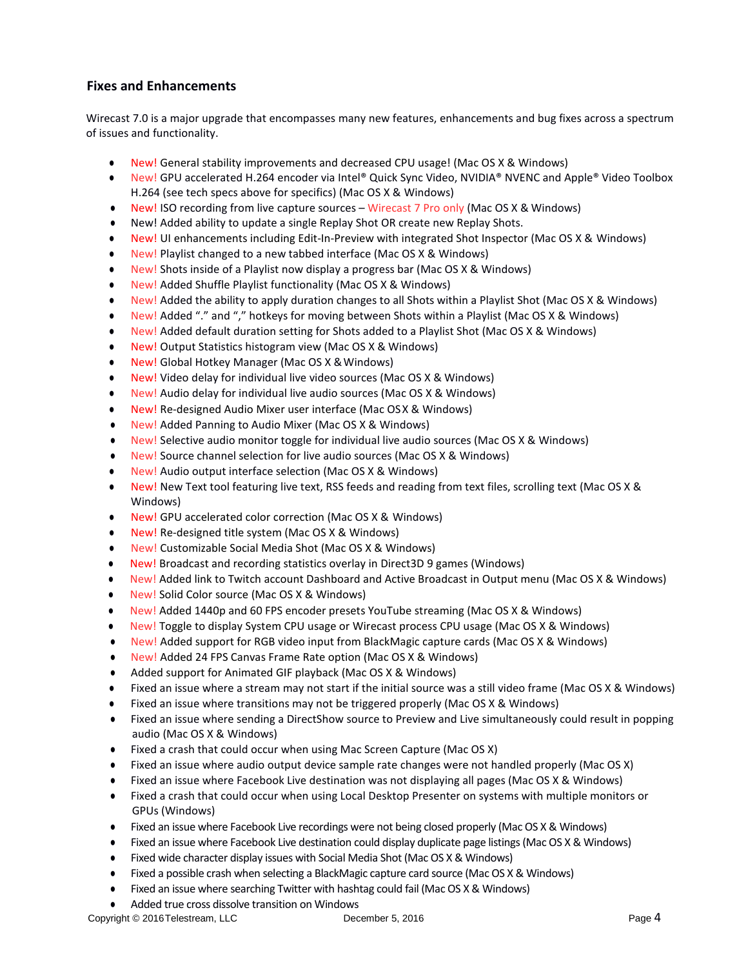## **Fixes and Enhancements**

Wirecast 7.0 is a major upgrade that encompasses many new features, enhancements and bug fixes across a spectrum of issues and functionality.

- New! General stability improvements and decreased CPU usage! (Mac OS X & Windows)
- New! GPU accelerated H.264 encoder via Intel® Quick Sync Video, NVIDIA® NVENC and Apple® Video Toolbox H.264 (see tech specs above for specifics) (Mac OS X & Windows)
- New! ISO recording from live capture sources Wirecast 7 Pro only (Mac OS X & Windows)
- New! Added ability to update a single Replay Shot OR create new Replay Shots.
- New! UI enhancements including Edit-In-Preview with integrated Shot Inspector (Mac OS X & Windows)
- New! Playlist changed to a new tabbed interface (Mac OS X & Windows)
- New! Shots inside of a Playlist now display a progress bar (Mac OS X & Windows)
- New! Added Shuffle Playlist functionality (Mac OS X & Windows)
- New! Added the ability to apply duration changes to all Shots within a Playlist Shot (Mac OS X & Windows)
- New! Added "." and "," hotkeys for moving between Shots within a Playlist (Mac OS X & Windows)
- New! Added default duration setting for Shots added to a Playlist Shot (Mac OS X & Windows)
- New! Output Statistics histogram view (Mac OS X & Windows)
- New! Global Hotkey Manager (Mac OS X & Windows)
- New! Video delay for individual live video sources (Mac OS X & Windows)
- New! Audio delay for individual live audio sources (Mac OS X & Windows)
- New! Re-designed Audio Mixer user interface (Mac OSX & Windows)
- New! Added Panning to Audio Mixer (Mac OS X & Windows)
- New! Selective audio monitor toggle for individual live audio sources (Mac OS X & Windows)
- New! Source channel selection for live audio sources (Mac OS X & Windows)
- New! Audio output interface selection (Mac OS X & Windows)
- New! New Text tool featuring live text, RSS feeds and reading from text files, scrolling text (Mac OS X & Windows)
- New! GPU accelerated color correction (Mac OS X & Windows)
- New! Re-designed title system (Mac OS X & Windows)
- New! Customizable Social Media Shot (Mac OS X & Windows)
- New! Broadcast and recording statistics overlay in Direct3D 9 games (Windows)
- New! Added link to Twitch account Dashboard and Active Broadcast in Output menu (Mac OS X & Windows)
- New! Solid Color source (Mac OS X & Windows)
- New! Added 1440p and 60 FPS encoder presets YouTube streaming (Mac OS X & Windows)
- New! Toggle to display System CPU usage or Wirecast process CPU usage (Mac OS X & Windows)
- New! Added support for RGB video input from BlackMagic capture cards (Mac OS X & Windows)
- New! Added 24 FPS Canvas Frame Rate option (Mac OS X & Windows)
- Added support for Animated GIF playback (Mac OS X & Windows)
- Fixed an issue where a stream may not start if the initial source was a still video frame (Mac OS X & Windows)
- Fixed an issue where transitions may not be triggered properly (Mac OS X & Windows)
- Fixed an issue where sending a DirectShow source to Preview and Live simultaneously could result in popping audio (Mac OS X & Windows)
- Fixed a crash that could occur when using Mac Screen Capture (Mac OS X)
- Fixed an issue where audio output device sample rate changes were not handled properly (Mac OS X)
- Fixed an issue where Facebook Live destination was not displaying all pages (Mac OS X & Windows)
- Fixed a crash that could occur when using Local Desktop Presenter on systems with multiple monitors or GPUs (Windows)
- Fixed an issue where Facebook Live recordings were not being closed properly (Mac OS X & Windows)
- Fixed an issue where Facebook Live destination could display duplicate page listings (Mac OS X & Windows)
- Fixed wide character display issues with Social Media Shot (Mac OS X & Windows)
- Fixed a possible crash when selecting a BlackMagic capture card source (Mac OS X & Windows)
- Fixed an issue where searching Twitter with hashtag could fail (Mac OS X & Windows)
- Added true cross dissolve transition on Windows